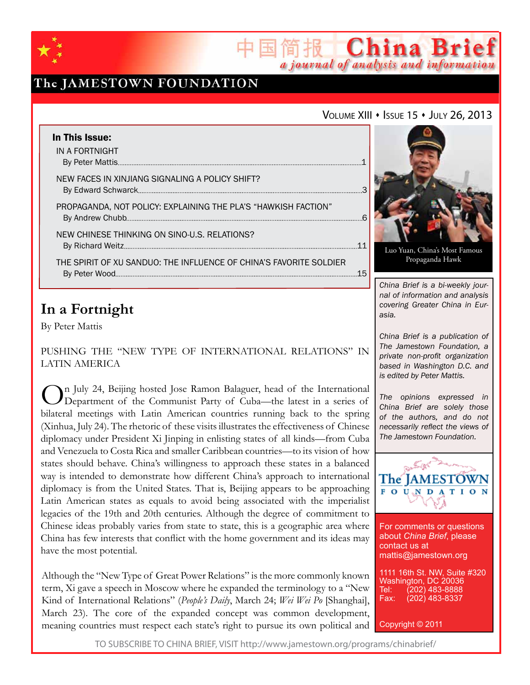

## The JAMESTOWN FOUNDATION

### VOLUME XIII • ISSUE 15 • JULY 26, 2013

简报 China Brief

a journal of analysis and information

| In This Issue:                                                     |     |
|--------------------------------------------------------------------|-----|
| IN A FORTNIGHT                                                     |     |
| NEW FACES IN XINJIANG SIGNALING A POLICY SHIFT?                    |     |
| PROPAGANDA, NOT POLICY: EXPLAINING THE PLA'S "HAWKISH FACTION"     |     |
| NEW CHINESE THINKING ON SINO-U.S. RELATIONS?                       |     |
| THE SPIRIT OF XU SANDUO: THE INFLUENCE OF CHINA'S FAVORITE SOLDIER | -15 |

## **In a Fortnight**

By Peter Mattis

Pushing the "New Type of International Relations" in Latin America

On July 24, Beijing hosted Jose Ramon Balaguer, head of the International<br>Department of the Communist Party of Cuba—the latest in a series of bilateral meetings with Latin American countries running back to the spring (Xinhua, July 24). The rhetoric of these visits illustrates the effectiveness of Chinese diplomacy under President Xi Jinping in enlisting states of all kinds—from Cuba and Venezuela to Costa Rica and smaller Caribbean countries—to its vision of how states should behave. China's willingness to approach these states in a balanced way is intended to demonstrate how different China's approach to international diplomacy is from the United States. That is, Beijing appears to be approaching Latin American states as equals to avoid being associated with the imperialist legacies of the 19th and 20th centuries. Although the degree of commitment to Chinese ideas probably varies from state to state, this is a geographic area where China has few interests that conflict with the home government and its ideas may have the most potential.

Although the "New Type of Great Power Relations" is the more commonly known term, Xi gave a speech in Moscow where he expanded the terminology to a "New Kind of International Relations" (*People's Daily*, March 24; *Wei Wei Po* [Shanghai], March 23). The core of the expanded concept was common development, meaning countries must respect each state's right to pursue its own political and



Luo Yuan, China's Most Famous Propaganda Hawk

*China Brief is a bi-weekly journal of information and analysis covering Greater China in Eurasia.* 

*China Brief is a publication of The Jamestown Foundation, a private non-profit organization based in Washington D.C. and is edited by Peter Mattis.*

*The opinions expressed in China Brief are solely those of the authors, and do not necessarily reflect the views of The Jamestown Foundation.*



For comments or questions about *China Brief*, please contact us at mattis@jamestown.org

1111 16th St. NW, Suite #320 Washington, DC 20036<br>Tel: (202) 483-8888 Tel: (202) 483-8888<br>Fax: (202) 483-8337 (202) 483-8337

Copyright © 2011

TO SUBSCRIBE TO CHINA BRIEF, VISIT http://www.jamestown.org/programs/chinabrief/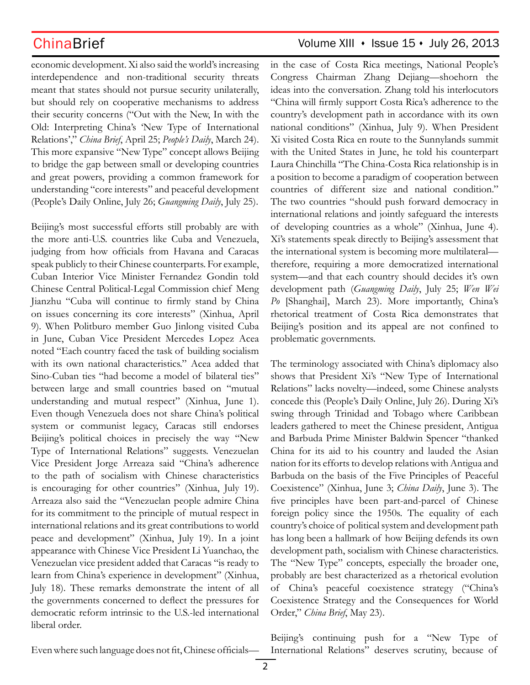economic development. Xi also said the world's increasing interdependence and non-traditional security threats meant that states should not pursue security unilaterally, but should rely on cooperative mechanisms to address their security concerns ("Out with the New, In with the Old: Interpreting China's 'New Type of International Relations'," *China Brief*, April 25; *People's Daily*, March 24). This more expansive "New Type" concept allows Beijing to bridge the gap between small or developing countries and great powers, providing a common framework for understanding "core interests" and peaceful development (People's Daily Online, July 26; *Guangming Daily*, July 25).

Beijing's most successful efforts still probably are with the more anti-U.S. countries like Cuba and Venezuela, judging from how officials from Havana and Caracas speak publicly to their Chinese counterparts. For example, Cuban Interior Vice Minister Fernandez Gondin told Chinese Central Political-Legal Commission chief Meng Jianzhu "Cuba will continue to firmly stand by China on issues concerning its core interests" (Xinhua, April 9). When Politburo member Guo Jinlong visited Cuba in June, Cuban Vice President Mercedes Lopez Acea noted "Each country faced the task of building socialism with its own national characteristics." Acea added that Sino-Cuban ties "had become a model of bilateral ties" between large and small countries based on "mutual understanding and mutual respect" (Xinhua, June 1). Even though Venezuela does not share China's political system or communist legacy, Caracas still endorses Beijing's political choices in precisely the way "New Type of International Relations" suggests. Venezuelan Vice President Jorge Arreaza said "China's adherence to the path of socialism with Chinese characteristics is encouraging for other countries" (Xinhua, July 19). Arreaza also said the "Venezuelan people admire China for its commitment to the principle of mutual respect in international relations and its great contributions to world peace and development" (Xinhua, July 19). In a joint appearance with Chinese Vice President Li Yuanchao, the Venezuelan vice president added that Caracas "is ready to learn from China's experience in development" (Xinhua, July 18). These remarks demonstrate the intent of all the governments concerned to deflect the pressures for democratic reform intrinsic to the U.S.-led international liberal order.

## ChinaBrief Volume XIII • Issue 15 • July 26, 2013

in the case of Costa Rica meetings, National People's Congress Chairman Zhang Dejiang—shoehorn the ideas into the conversation. Zhang told his interlocutors "China will firmly support Costa Rica's adherence to the country's development path in accordance with its own national conditions" (Xinhua, July 9). When President Xi visited Costa Rica en route to the Sunnylands summit with the United States in June, he told his counterpart Laura Chinchilla "The China-Costa Rica relationship is in a position to become a paradigm of cooperation between countries of different size and national condition." The two countries "should push forward democracy in international relations and jointly safeguard the interests of developing countries as a whole" (Xinhua, June 4). Xi's statements speak directly to Beijing's assessment that the international system is becoming more multilateral therefore, requiring a more democratized international system—and that each country should decides it's own development path (*Guangming Daily*, July 25; *Wen Wei Po* [Shanghai], March 23). More importantly, China's rhetorical treatment of Costa Rica demonstrates that Beijing's position and its appeal are not confined to problematic governments.

The terminology associated with China's diplomacy also shows that President Xi's "New Type of International Relations" lacks novelty—indeed, some Chinese analysts concede this (People's Daily Online, July 26). During Xi's swing through Trinidad and Tobago where Caribbean leaders gathered to meet the Chinese president, Antigua and Barbuda Prime Minister Baldwin Spencer "thanked China for its aid to his country and lauded the Asian nation for its efforts to develop relations with Antigua and Barbuda on the basis of the Five Principles of Peaceful Coexistence" (Xinhua, June 3; *China Daily*, June 3). The five principles have been part-and-parcel of Chinese foreign policy since the 1950s. The equality of each country's choice of political system and development path has long been a hallmark of how Beijing defends its own development path, socialism with Chinese characteristics. The "New Type" concepts, especially the broader one, probably are best characterized as a rhetorical evolution of China's peaceful coexistence strategy ("China's Coexistence Strategy and the Consequences for World Order," *China Brief*, May 23).

Even where such language does not fit, Chinese officials— International Relations" deserves scrutiny, because of

Beijing's continuing push for a "New Type of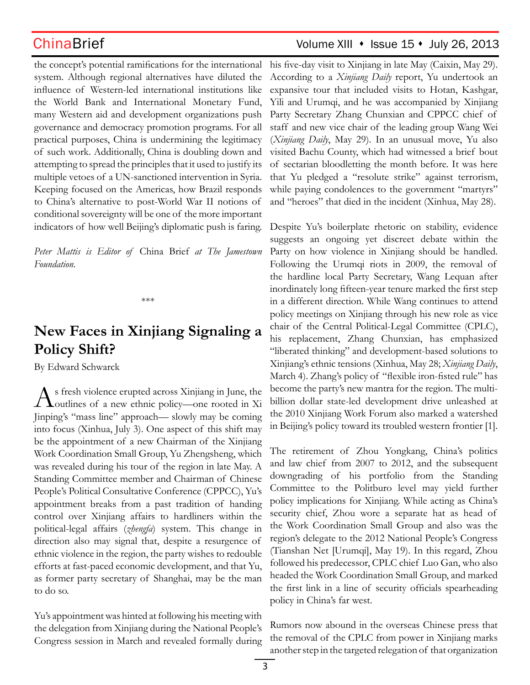the concept's potential ramifications for the international system. Although regional alternatives have diluted the influence of Western-led international institutions like the World Bank and International Monetary Fund, many Western aid and development organizations push governance and democracy promotion programs. For all practical purposes, China is undermining the legitimacy of such work. Additionally, China is doubling down and attempting to spread the principles that it used to justify its multiple vetoes of a UN-sanctioned intervention in Syria. Keeping focused on the Americas, how Brazil responds to China's alternative to post-World War II notions of conditional sovereignty will be one of the more important indicators of how well Beijing's diplomatic push is faring.

*Peter Mattis is Editor of* China Brief *at The Jamestown Foundation.*

\*\*\*

# **New Faces in Xinjiang Signaling a Policy Shift?**

By Edward Schwarck

As fresh violence erupted across Xinjiang in June, the outlines of a new ethnic policy—one rooted in Xi Jinping's "mass line" approach— slowly may be coming into focus (Xinhua, July 3). One aspect of this shift may be the appointment of a new Chairman of the Xinjiang Work Coordination Small Group, Yu Zhengsheng, which was revealed during his tour of the region in late May. A Standing Committee member and Chairman of Chinese People's Political Consultative Conference (CPPCC), Yu's appointment breaks from a past tradition of handing control over Xinjiang affairs to hardliners within the political-legal affairs (*zhengfa*) system. This change in direction also may signal that, despite a resurgence of ethnic violence in the region, the party wishes to redouble efforts at fast-paced economic development, and that Yu, as former party secretary of Shanghai, may be the man to do so.

Yu's appointment was hinted at following his meeting with the delegation from Xinjiang during the National People's Congress session in March and revealed formally during

## ChinaBrief ChinaBrief Volume XIII • Issue 15 • July 26, 2013

his five-day visit to Xinjiang in late May (Caixin, May 29). According to a *Xinjiang Daily* report, Yu undertook an expansive tour that included visits to Hotan, Kashgar, Yili and Urumqi, and he was accompanied by Xinjiang Party Secretary Zhang Chunxian and CPPCC chief of staff and new vice chair of the leading group Wang Wei (*Xinjiang Daily*, May 29). In an unusual move, Yu also visited Bachu County, which had witnessed a brief bout of sectarian bloodletting the month before. It was here that Yu pledged a "resolute strike" against terrorism, while paying condolences to the government "martyrs" and "heroes" that died in the incident (Xinhua, May 28).

Despite Yu's boilerplate rhetoric on stability, evidence suggests an ongoing yet discreet debate within the Party on how violence in Xinjiang should be handled. Following the Urumqi riots in 2009, the removal of the hardline local Party Secretary, Wang Lequan after inordinately long fifteen-year tenure marked the first step in a different direction. While Wang continues to attend policy meetings on Xinjiang through his new role as vice chair of the Central Political-Legal Committee (CPLC), his replacement, Zhang Chunxian, has emphasized "liberated thinking" and development-based solutions to Xinjiang's ethnic tensions (Xinhua, May 28; *Xinjiang Daily*, March 4). Zhang's policy of "flexible iron-fisted rule" has become the party's new mantra for the region. The multibillion dollar state-led development drive unleashed at the 2010 Xinjiang Work Forum also marked a watershed in Beijing's policy toward its troubled western frontier [1].

The retirement of Zhou Yongkang, China's politics and law chief from 2007 to 2012, and the subsequent downgrading of his portfolio from the Standing Committee to the Politburo level may yield further policy implications for Xinjiang. While acting as China's security chief, Zhou wore a separate hat as head of the Work Coordination Small Group and also was the region's delegate to the 2012 National People's Congress (Tianshan Net [Urumqi], May 19). In this regard, Zhou followed his predecessor, CPLC chief Luo Gan, who also headed the Work Coordination Small Group, and marked the first link in a line of security officials spearheading policy in China's far west.

Rumors now abound in the overseas Chinese press that the removal of the CPLC from power in Xinjiang marks another step in the targeted relegation of that organization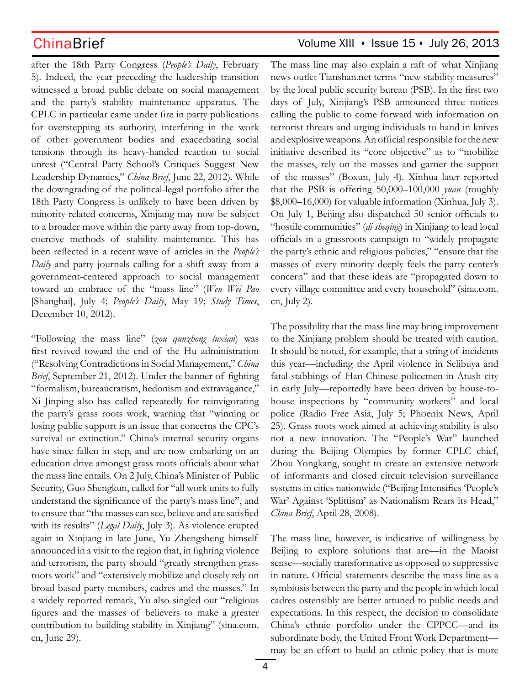after the 18th Party Congress (*People's Daily*, February 5). Indeed, the year preceding the leadership transition witnessed a broad public debate on social management and the party's stability maintenance apparatus. The CPLC in particular came under fire in party publications for overstepping its authority, interfering in the work of other government bodies and exacerbating social tensions through its heavy-handed reaction to social unrest ("Central Party School's Critiques Suggest New Leadership Dynamics," *China Brief*, June 22, 2012). While the downgrading of the political-legal portfolio after the 18th Party Congress is unlikely to have been driven by minority-related concerns, Xinjiang may now be subject to a broader move within the party away from top-down, coercive methods of stability maintenance. This has been reflected in a recent wave of articles in the *People's Daily* and party journals calling for a shift away from a government-centered approach to social management toward an embrace of the "mass line" (*Wen Wei Pao* [Shanghai], July 4; *People's Daily*, May 19; *Study Times*, December 10, 2012).

"Following the mass line" (*zou qunzhong luxian*) was first revived toward the end of the Hu administration ("Resolving Contradictions in Social Management," *China Brief*, September 21, 2012). Under the banner of fighting "formalism, bureaucratism, hedonism and extravagance," Xi Jinping also has called repeatedly for reinvigorating the party's grass roots work, warning that "winning or losing public support is an issue that concerns the CPC's survival or extinction." China's internal security organs have since fallen in step, and are now embarking on an education drive amongst grass roots officials about what the mass line entails. On 2 July, China's Minister of Public Security, Guo Shengkun, called for "all work units to fully understand the significance of the party's mass line", and to ensure that "the masses can see, believe and are satisfied with its results" (*Legal Daily*, July 3). As violence erupted again in Xinjiang in late June, Yu Zhengsheng himself announced in a visit to the region that, in fighting violence and terrorism, the party should "greatly strengthen grass roots work" and "extensively mobilize and closely rely on broad based party members, cadres and the masses." In a widely reported remark, Yu also singled out "religious figures and the masses of believers to make a greater contribution to building stability in Xinjiang" (sina.com. cn, June 29).

## $China Brief$  Volume XIII  $\cdot$  Issue 15  $\cdot$  July 26, 2013

The mass line may also explain a raft of what Xinjiang news outlet Tianshan.net terms "new stability measures" by the local public security bureau (PSB). In the first two days of July, Xinjiang's PSB announced three notices calling the public to come forward with information on terrorist threats and urging individuals to hand in knives and explosive weapons. An official responsible for the new initiative described its "core objective" as to "mobilize the masses, rely on the masses and garner the support of the masses" (Boxun, July 4). Xinhua later reported that the PSB is offering 50,000–100,000 *yuan* (roughly \$8,000–16,000) for valuable information (Xinhua, July 3). On July 1, Beijing also dispatched 50 senior officials to "hostile communities" (*di sheqing*) in Xinjiang to lead local officials in a grassroots campaign to "widely propagate the party's ethnic and religious policies," "ensure that the masses of every minority deeply feels the party center's concern" and that these ideas are "propagated down to every village committee and every household" (sina.com. cn, July 2).

The possibility that the mass line may bring improvement to the Xinjiang problem should be treated with caution. It should be noted, for example, that a string of incidents this year—including the April violence in Selibuya and fatal stabbings of Han Chinese policemen in Atush city in early July—reportedly have been driven by house-tohouse inspections by "community workers" and local police (Radio Free Asia, July 5; Phoenix News, April 25). Grass roots work aimed at achieving stability is also not a new innovation. The "People's War" launched during the Beijing Olympics by former CPLC chief, Zhou Yongkang, sought to create an extensive network of informants and closed circuit television surveillance systems in cities nationwide ("Beijing Intensifies 'People's War' Against 'Splittism' as Nationalism Rears its Head," *China Brief*, April 28, 2008).

The mass line, however, is indicative of willingness by Beijing to explore solutions that are—in the Maoist sense—socially transformative as opposed to suppressive in nature. Official statements describe the mass line as a symbiosis between the party and the people in which local cadres ostensibly are better attuned to public needs and expectations. In this respect, the decision to consolidate China's ethnic portfolio under the CPPCC—and its subordinate body, the United Front Work Department may be an effort to build an ethnic policy that is more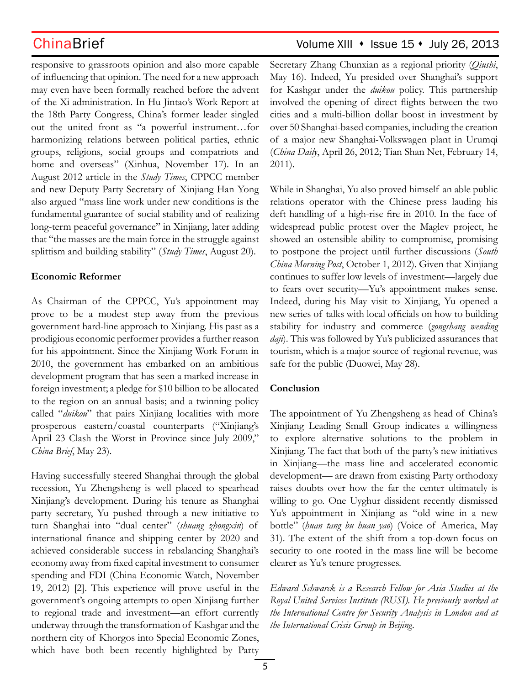responsive to grassroots opinion and also more capable of influencing that opinion. The need for a new approach may even have been formally reached before the advent of the Xi administration. In Hu Jintao's Work Report at the 18th Party Congress, China's former leader singled out the united front as "a powerful instrument…for harmonizing relations between political parties, ethnic groups, religions, social groups and compatriots and home and overseas" (Xinhua, November 17). In an August 2012 article in the *Study Times*, CPPCC member and new Deputy Party Secretary of Xinjiang Han Yong also argued "mass line work under new conditions is the fundamental guarantee of social stability and of realizing long-term peaceful governance" in Xinjiang, later adding that "the masses are the main force in the struggle against splittism and building stability" (*Study Times*, August 20).

### **Economic Reformer**

As Chairman of the CPPCC, Yu's appointment may prove to be a modest step away from the previous government hard-line approach to Xinjiang. His past as a prodigious economic performer provides a further reason for his appointment. Since the Xinjiang Work Forum in 2010, the government has embarked on an ambitious development program that has seen a marked increase in foreign investment; a pledge for \$10 billion to be allocated to the region on an annual basis; and a twinning policy called "*duikou*" that pairs Xinjiang localities with more prosperous eastern/coastal counterparts ("Xinjiang's April 23 Clash the Worst in Province since July 2009," *China Brief*, May 23).

Having successfully steered Shanghai through the global recession, Yu Zhengsheng is well placed to spearhead Xinjiang's development. During his tenure as Shanghai party secretary, Yu pushed through a new initiative to turn Shanghai into "dual center" (*shuang zhongxin*) of international finance and shipping center by 2020 and achieved considerable success in rebalancing Shanghai's economy away from fixed capital investment to consumer spending and FDI (China Economic Watch, November 19, 2012) [2]. This experience will prove useful in the government's ongoing attempts to open Xinjiang further to regional trade and investment—an effort currently underway through the transformation of Kashgar and the northern city of Khorgos into Special Economic Zones, which have both been recently highlighted by Party

## ChinaBrief ChinaBrief Volume XIII • Issue 15 • July 26, 2013

Secretary Zhang Chunxian as a regional priority (*Qiushi*, May 16). Indeed, Yu presided over Shanghai's support for Kashgar under the *duikou* policy. This partnership involved the opening of direct flights between the two cities and a multi-billion dollar boost in investment by over 50 Shanghai-based companies, including the creation of a major new Shanghai-Volkswagen plant in Urumqi (*China Daily*, April 26, 2012; Tian Shan Net, February 14, 2011).

While in Shanghai, Yu also proved himself an able public relations operator with the Chinese press lauding his deft handling of a high-rise fire in 2010. In the face of widespread public protest over the Maglev project, he showed an ostensible ability to compromise, promising to postpone the project until further discussions (*South China Morning Post*, October 1, 2012). Given that Xinjiang continues to suffer low levels of investment—largely due to fears over security—Yu's appointment makes sense. Indeed, during his May visit to Xinjiang, Yu opened a new series of talks with local officials on how to building stability for industry and commerce (*gongshang wending daji*). This was followed by Yu's publicized assurances that tourism, which is a major source of regional revenue, was safe for the public (Duowei, May 28).

### **Conclusion**

The appointment of Yu Zhengsheng as head of China's Xinjiang Leading Small Group indicates a willingness to explore alternative solutions to the problem in Xinjiang. The fact that both of the party's new initiatives in Xinjiang—the mass line and accelerated economic development— are drawn from existing Party orthodoxy raises doubts over how the far the center ultimately is willing to go. One Uyghur dissident recently dismissed Yu's appointment in Xinjiang as "old wine in a new bottle" (*huan tang bu huan yao*) (Voice of America, May 31). The extent of the shift from a top-down focus on security to one rooted in the mass line will be become clearer as Yu's tenure progresses.

*Edward Schwarck is a Research Fellow for Asia Studies at the Royal United Services Institute (RUSI). He previously worked at the International Centre for Security Analysis in London and at the International Crisis Group in Beijing.*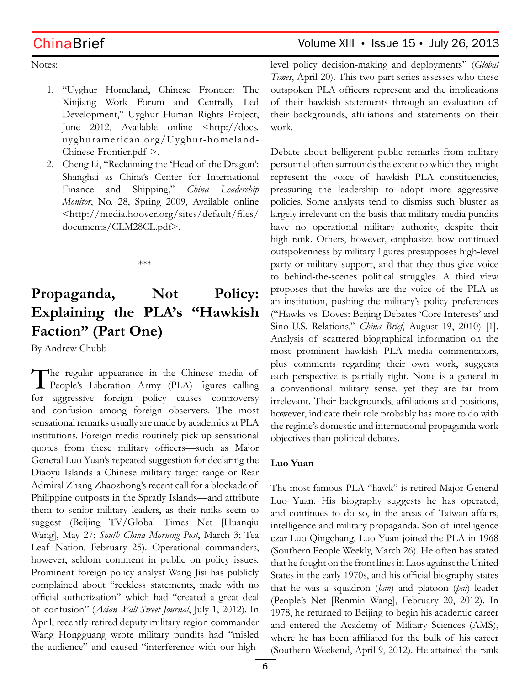## ChinaBrief Volume XIII · Issue 15 · July 26, 2013

Notes:

- 1. "Uyghur Homeland, Chinese Frontier: The Xinjiang Work Forum and Centrally Led Development," Uyghur Human Rights Project, June 2012, Available online <http://docs. uyghuramerican.org/Uyghur-homeland-Chinese-Frontier.pdf >.
- 2. Cheng Li, "Reclaiming the 'Head of the Dragon': Shanghai as China's Center for International Finance and Shipping," *China Leadership Monitor*, No. 28, Spring 2009, Available online <http://media.hoover.org/sites/default/files/ documents/CLM28CL.pdf>.

\*\*\*

# **Propaganda, Not Policy: Explaining the PLA's "Hawkish Faction" (Part One)**

By Andrew Chubb

The regular appearance in the Chinese media of People's Liberation Army (PLA) figures calling for aggressive foreign policy causes controversy and confusion among foreign observers. The most sensational remarks usually are made by academics at PLA institutions. Foreign media routinely pick up sensational quotes from these military officers—such as Major General Luo Yuan's repeated suggestion for declaring the Diaoyu Islands a Chinese military target range or Rear Admiral Zhang Zhaozhong's recent call for a blockade of Philippine outposts in the Spratly Islands—and attribute them to senior military leaders, as their ranks seem to suggest (Beijing TV/Global Times Net [Huanqiu Wang], May 27; *South China Morning Post*, March 3; Tea Leaf Nation, February 25). Operational commanders, however, seldom comment in public on policy issues. Prominent foreign policy analyst Wang Jisi has publicly complained about "reckless statements, made with no official authorization" which had "created a great deal of confusion" (*Asian Wall Street Journal*, July 1, 2012). In April, recently-retired deputy military region commander Wang Hongguang wrote military pundits had "misled the audience" and caused "interference with our highlevel policy decision-making and deployments" (*Global Times*, April 20). This two-part series assesses who these outspoken PLA officers represent and the implications of their hawkish statements through an evaluation of their backgrounds, affiliations and statements on their work.

Debate about belligerent public remarks from military personnel often surrounds the extent to which they might represent the voice of hawkish PLA constituencies, pressuring the leadership to adopt more aggressive policies. Some analysts tend to dismiss such bluster as largely irrelevant on the basis that military media pundits have no operational military authority, despite their high rank. Others, however, emphasize how continued outspokenness by military figures presupposes high-level party or military support, and that they thus give voice to behind-the-scenes political struggles. A third view proposes that the hawks are the voice of the PLA as an institution, pushing the military's policy preferences ("Hawks vs. Doves: Beijing Debates 'Core Interests' and Sino-U.S. Relations," *China Brief*, August 19, 2010) [1]. Analysis of scattered biographical information on the most prominent hawkish PLA media commentators, plus comments regarding their own work, suggests each perspective is partially right. None is a general in a conventional military sense, yet they are far from irrelevant. Their backgrounds, affiliations and positions, however, indicate their role probably has more to do with the regime's domestic and international propaganda work objectives than political debates.

### **Luo Yuan**

The most famous PLA "hawk" is retired Major General Luo Yuan. His biography suggests he has operated, and continues to do so, in the areas of Taiwan affairs, intelligence and military propaganda. Son of intelligence czar Luo Qingchang, Luo Yuan joined the PLA in 1968 (Southern People Weekly, March 26). He often has stated that he fought on the front lines in Laos against the United States in the early 1970s, and his official biography states that he was a squadron (*ban*) and platoon (*pai*) leader (People's Net [Renmin Wang], February 20, 2012). In 1978, he returned to Beijing to begin his academic career and entered the Academy of Military Sciences (AMS), where he has been affiliated for the bulk of his career (Southern Weekend, April 9, 2012). He attained the rank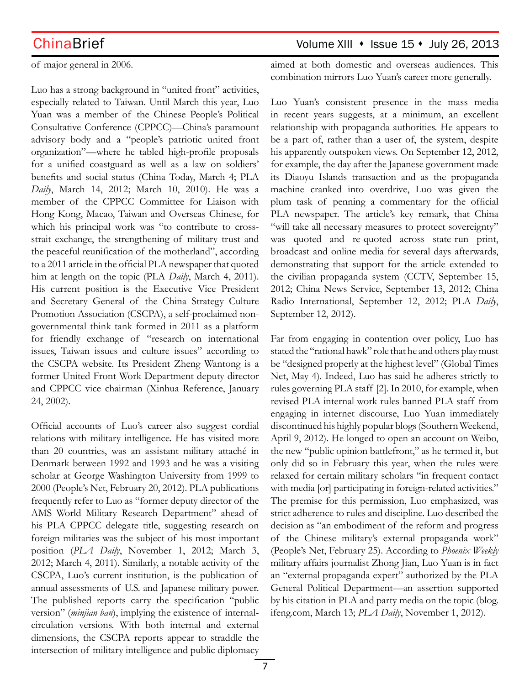of major general in 2006.

Luo has a strong background in "united front" activities, especially related to Taiwan. Until March this year, Luo Yuan was a member of the Chinese People's Political Consultative Conference (CPPCC)—China's paramount advisory body and a "people's patriotic united front organization"—where he tabled high-profile proposals for a unified coastguard as well as a law on soldiers' benefits and social status (China Today, March 4; PLA *Daily*, March 14, 2012; March 10, 2010). He was a member of the CPPCC Committee for Liaison with Hong Kong, Macao, Taiwan and Overseas Chinese, for which his principal work was "to contribute to crossstrait exchange, the strengthening of military trust and the peaceful reunification of the motherland", according to a 2011 article in the official PLA newspaper that quoted him at length on the topic (PLA *Daily*, March 4, 2011). His current position is the Executive Vice President and Secretary General of the China Strategy Culture Promotion Association (CSCPA), a self-proclaimed nongovernmental think tank formed in 2011 as a platform for friendly exchange of "research on international issues, Taiwan issues and culture issues" according to the CSCPA website. Its President Zheng Wantong is a former United Front Work Department deputy director and CPPCC vice chairman (Xinhua Reference, January 24, 2002).

Official accounts of Luo's career also suggest cordial relations with military intelligence. He has visited more than 20 countries, was an assistant military attaché in Denmark between 1992 and 1993 and he was a visiting scholar at George Washington University from 1999 to 2000 (People's Net, February 20, 2012). PLA publications frequently refer to Luo as "former deputy director of the AMS World Military Research Department" ahead of his PLA CPPCC delegate title, suggesting research on foreign militaries was the subject of his most important position (*PLA Daily*, November 1, 2012; March 3, 2012; March 4, 2011). Similarly, a notable activity of the CSCPA, Luo's current institution, is the publication of annual assessments of U.S. and Japanese military power. The published reports carry the specification "public version" (*minjian ban*), implying the existence of internalcirculation versions. With both internal and external dimensions, the CSCPA reports appear to straddle the intersection of military intelligence and public diplomacy

## ChinaBrief Volume XIII • Issue 15 • July 26, 2013

aimed at both domestic and overseas audiences. This combination mirrors Luo Yuan's career more generally.

Luo Yuan's consistent presence in the mass media in recent years suggests, at a minimum, an excellent relationship with propaganda authorities. He appears to be a part of, rather than a user of, the system, despite his apparently outspoken views. On September 12, 2012, for example, the day after the Japanese government made its Diaoyu Islands transaction and as the propaganda machine cranked into overdrive, Luo was given the plum task of penning a commentary for the official PLA newspaper. The article's key remark, that China "will take all necessary measures to protect sovereignty" was quoted and re-quoted across state-run print, broadcast and online media for several days afterwards, demonstrating that support for the article extended to the civilian propaganda system (CCTV, September 15, 2012; China News Service, September 13, 2012; China Radio International, September 12, 2012; PLA *Daily*, September 12, 2012).

Far from engaging in contention over policy, Luo has stated the "rational hawk" role that he and others play must be "designed properly at the highest level" (Global Times Net, May 4). Indeed, Luo has said he adheres strictly to rules governing PLA staff [2]. In 2010, for example, when revised PLA internal work rules banned PLA staff from engaging in internet discourse, Luo Yuan immediately discontinued his highly popular blogs (Southern Weekend, April 9, 2012). He longed to open an account on Weibo, the new "public opinion battlefront," as he termed it, but only did so in February this year, when the rules were relaxed for certain military scholars "in frequent contact with media [or] participating in foreign-related activities." The premise for this permission, Luo emphasized, was strict adherence to rules and discipline. Luo described the decision as "an embodiment of the reform and progress of the Chinese military's external propaganda work" (People's Net, February 25). According to *Phoenix Weekly* military affairs journalist Zhong Jian, Luo Yuan is in fact an "external propaganda expert" authorized by the PLA General Political Department—an assertion supported by his citation in PLA and party media on the topic (blog. ifeng.com, March 13; *PLA Daily*, November 1, 2012).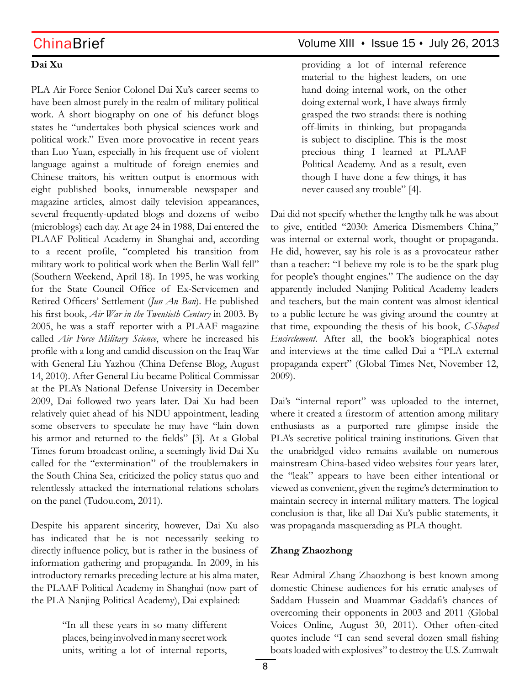### **Dai Xu**

PLA Air Force Senior Colonel Dai Xu's career seems to have been almost purely in the realm of military political work. A short biography on one of his defunct blogs states he "undertakes both physical sciences work and political work." Even more provocative in recent years than Luo Yuan, especially in his frequent use of violent language against a multitude of foreign enemies and Chinese traitors, his written output is enormous with eight published books, innumerable newspaper and magazine articles, almost daily television appearances, several frequently-updated blogs and dozens of weibo (microblogs) each day. At age 24 in 1988, Dai entered the PLAAF Political Academy in Shanghai and, according to a recent profile, "completed his transition from military work to political work when the Berlin Wall fell" (Southern Weekend, April 18). In 1995, he was working for the State Council Office of Ex-Servicemen and Retired Officers' Settlement (*Jun An Ban*). He published his first book, *Air War in the Twentieth Century* in 2003. By 2005, he was a staff reporter with a PLAAF magazine called *Air Force Military Science*, where he increased his profile with a long and candid discussion on the Iraq War with General Liu Yazhou (China Defense Blog, August 14, 2010). After General Liu became Political Commissar at the PLA's National Defense University in December 2009, Dai followed two years later. Dai Xu had been relatively quiet ahead of his NDU appointment, leading some observers to speculate he may have "lain down his armor and returned to the fields" [3]. At a Global Times forum broadcast online, a seemingly livid Dai Xu called for the "extermination" of the troublemakers in the South China Sea, criticized the policy status quo and relentlessly attacked the international relations scholars on the panel (Tudou.com, 2011).

Despite his apparent sincerity, however, Dai Xu also has indicated that he is not necessarily seeking to directly influence policy, but is rather in the business of information gathering and propaganda. In 2009, in his introductory remarks preceding lecture at his alma mater, the PLAAF Political Academy in Shanghai (now part of the PLA Nanjing Political Academy), Dai explained:

> "In all these years in so many different places, being involved in many secret work units, writing a lot of internal reports,

## ChinaBrief Volume XIII · Issue 15 · July 26, 2013

providing a lot of internal reference material to the highest leaders, on one hand doing internal work, on the other doing external work, I have always firmly grasped the two strands: there is nothing off-limits in thinking, but propaganda is subject to discipline. This is the most precious thing I learned at PLAAF Political Academy. And as a result, even though I have done a few things, it has never caused any trouble" [4].

Dai did not specify whether the lengthy talk he was about to give, entitled "2030: America Dismembers China," was internal or external work, thought or propaganda. He did, however, say his role is as a provocateur rather than a teacher: "I believe my role is to be the spark plug for people's thought engines." The audience on the day apparently included Nanjing Political Academy leaders and teachers, but the main content was almost identical to a public lecture he was giving around the country at that time, expounding the thesis of his book, *C-Shaped Encirclement*. After all, the book's biographical notes and interviews at the time called Dai a "PLA external propaganda expert" (Global Times Net, November 12, 2009).

Dai's "internal report" was uploaded to the internet, where it created a firestorm of attention among military enthusiasts as a purported rare glimpse inside the PLA's secretive political training institutions. Given that the unabridged video remains available on numerous mainstream China-based video websites four years later, the "leak" appears to have been either intentional or viewed as convenient, given the regime's determination to maintain secrecy in internal military matters. The logical conclusion is that, like all Dai Xu's public statements, it was propaganda masquerading as PLA thought.

### **Zhang Zhaozhong**

Rear Admiral Zhang Zhaozhong is best known among domestic Chinese audiences for his erratic analyses of Saddam Hussein and Muammar Gaddafi's chances of overcoming their opponents in 2003 and 2011 (Global Voices Online, August 30, 2011). Other often-cited quotes include "I can send several dozen small fishing boats loaded with explosives" to destroy the U.S. Zumwalt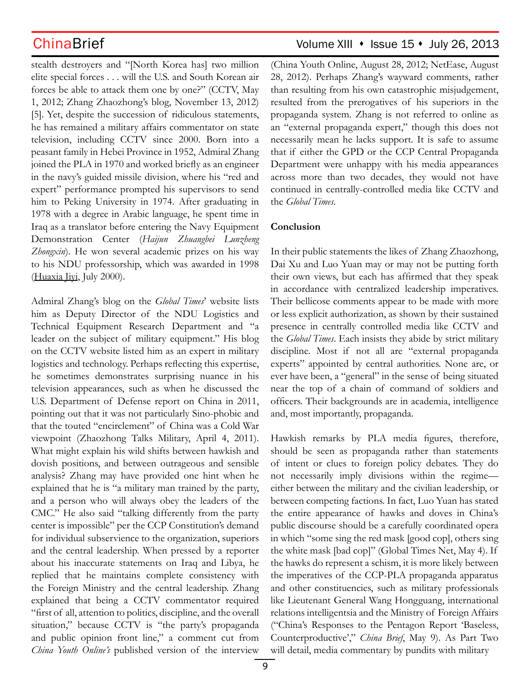stealth destroyers and "[North Korea has] two million elite special forces . . . will the U.S. and South Korean air forces be able to attack them one by one?" (CCTV, May 1, 2012; Zhang Zhaozhong's blog, November 13, 2012) [5]. Yet, despite the succession of ridiculous statements, he has remained a military affairs commentator on state television, including CCTV since 2000. Born into a peasant family in Hebei Province in 1952, Admiral Zhang joined the PLA in 1970 and worked briefly as an engineer in the navy's guided missile division, where his "red and expert" performance prompted his supervisors to send him to Peking University in 1974. After graduating in 1978 with a degree in Arabic language, he spent time in Iraq as a translator before entering the Navy Equipment Demonstration Center (*Haijun Zhuangbei Lunzheng Zhongxin*). He won several academic prizes on his way to his NDU professorship, which was awarded in 1998 (Huaxia Jivi, July 2000).

Admiral Zhang's blog on the *Global Times*' website lists him as Deputy Director of the NDU Logistics and Technical Equipment Research Department and "a leader on the subject of military equipment." His blog on the CCTV website listed him as an expert in military logistics and technology. Perhaps reflecting this expertise, he sometimes demonstrates surprising nuance in his television appearances, such as when he discussed the U.S. Department of Defense report on China in 2011, pointing out that it was not particularly Sino-phobic and that the touted "encirclement" of China was a Cold War viewpoint (Zhaozhong Talks Military, April 4, 2011). What might explain his wild shifts between hawkish and dovish positions, and between outrageous and sensible analysis? Zhang may have provided one hint when he explained that he is "a military man trained by the party, and a person who will always obey the leaders of the CMC." He also said "talking differently from the party center is impossible" per the CCP Constitution's demand for individual subservience to the organization, superiors and the central leadership. When pressed by a reporter about his inaccurate statements on Iraq and Libya, he replied that he maintains complete consistency with the Foreign Ministry and the central leadership. Zhang explained that being a CCTV commentator required "first of all, attention to politics, discipline, and the overall situation," because CCTV is "the party's propaganda and public opinion front line," a comment cut from *China Youth Online's* published version of the interview

## ChinaBrief Volume XIII • Issue 15 • July 26, 2013

(China Youth Online, August 28, 2012; NetEase, August 28, 2012). Perhaps Zhang's wayward comments, rather than resulting from his own catastrophic misjudgement, resulted from the prerogatives of his superiors in the propaganda system. Zhang is not referred to online as an "external propaganda expert," though this does not necessarily mean he lacks support. It is safe to assume that if either the GPD or the CCP Central Propaganda Department were unhappy with his media appearances across more than two decades, they would not have continued in centrally-controlled media like CCTV and the *Global Times*.

### **Conclusion**

In their public statements the likes of Zhang Zhaozhong, Dai Xu and Luo Yuan may or may not be putting forth their own views, but each has affirmed that they speak in accordance with centralized leadership imperatives. Their bellicose comments appear to be made with more or less explicit authorization, as shown by their sustained presence in centrally controlled media like CCTV and the *Global Times*. Each insists they abide by strict military discipline. Most if not all are "external propaganda experts" appointed by central authorities. None are, or ever have been, a "general" in the sense of being situated near the top of a chain of command of soldiers and officers. Their backgrounds are in academia, intelligence and, most importantly, propaganda.

Hawkish remarks by PLA media figures, therefore, should be seen as propaganda rather than statements of intent or clues to foreign policy debates. They do not necessarily imply divisions within the regime either between the military and the civilian leadership, or between competing factions. In fact, Luo Yuan has stated the entire appearance of hawks and doves in China's public discourse should be a carefully coordinated opera in which "some sing the red mask [good cop], others sing the white mask [bad cop]" (Global Times Net, May 4). If the hawks do represent a schism, it is more likely between the imperatives of the CCP-PLA propaganda apparatus and other constituencies, such as military professionals like Lieutenant General Wang Hongguang, international relations intelligentsia and the Ministry of Foreign Affairs ("China's Responses to the Pentagon Report 'Baseless, Counterproductive'," *China Brief*, May 9). As Part Two will detail, media commentary by pundits with military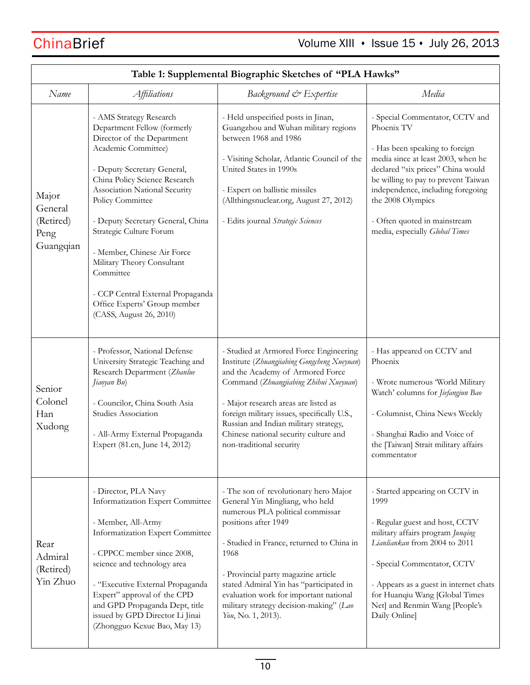| Table 1: Supplemental Biographic Sketches of "PLA Hawks" |                                                                                                                                                                                                                                                                                                                                                                                                                                                                            |                                                                                                                                                                                                                                                                                                                                                                                        |                                                                                                                                                                                                                                                                                                                               |  |
|----------------------------------------------------------|----------------------------------------------------------------------------------------------------------------------------------------------------------------------------------------------------------------------------------------------------------------------------------------------------------------------------------------------------------------------------------------------------------------------------------------------------------------------------|----------------------------------------------------------------------------------------------------------------------------------------------------------------------------------------------------------------------------------------------------------------------------------------------------------------------------------------------------------------------------------------|-------------------------------------------------------------------------------------------------------------------------------------------------------------------------------------------------------------------------------------------------------------------------------------------------------------------------------|--|
| Name                                                     | <i>Affiliations</i>                                                                                                                                                                                                                                                                                                                                                                                                                                                        | Background & Expertise                                                                                                                                                                                                                                                                                                                                                                 | Media                                                                                                                                                                                                                                                                                                                         |  |
| Major<br>General<br>(Retired)<br>Peng<br>Guangqian       | - AMS Strategy Research<br>Department Fellow (formerly<br>Director of the Department<br>Academic Committee)<br>- Deputy Secretary General,<br>China Policy Science Research<br>Association National Security<br>Policy Committee<br>- Deputy Secretary General, China<br>Strategic Culture Forum<br>- Member, Chinese Air Force<br>Military Theory Consultant<br>Committee<br>- CCP Central External Propaganda<br>Office Experts' Group member<br>(CASS, August 26, 2010) | - Held unspecified posts in Jinan,<br>Guangzhou and Wuhan military regions<br>between 1968 and 1986<br>- Visiting Scholar, Atlantic Council of the<br>United States in 1990s<br>- Expert on ballistic missiles<br>(Allthingsnuclear.org, August 27, 2012)<br>- Edits journal Strategic Sciences                                                                                        | - Special Commentator, CCTV and<br>Phoenix TV<br>- Has been speaking to foreign<br>media since at least 2003, when he<br>declared "six prices" China would<br>be willing to pay to prevent Taiwan<br>independence, including foregoing<br>the 2008 Olympics<br>- Often quoted in mainstream<br>media, especially Global Times |  |
| Senior<br>Colonel<br>Han<br>Xudong                       | - Professor, National Defense<br>University Strategic Teaching and<br>Research Department (Zhanlue<br>Jiaoyan Bu)<br>- Councilor, China South Asia<br>Studies Association<br>- All-Army External Propaganda<br>Expert (81.cn, June 14, 2012)                                                                                                                                                                                                                               | - Studied at Armored Force Engineering<br>Institute (Zhuangjiabing Gongcheng Xueyuan)<br>and the Academy of Armored Force<br>Command (Zhuangjiabing Zhihui Xueyuan)<br>- Major research areas are listed as<br>foreign military issues, specifically U.S.,<br>Russian and Indian military strategy,<br>Chinese national security culture and<br>non-traditional security               | - Has appeared on CCTV and<br>Phoenix<br>- Wrote numerous 'World Military<br>Watch' columns for Jiefangjun Bao<br>- Columnist, China News Weekly<br>- Shanghai Radio and Voice of<br>the [Taiwan] Strait military affairs<br>commentator                                                                                      |  |
| Rear<br>Admiral<br>(Retired)<br>Yin Zhuo                 | - Director, PLA Navy<br>Informatization Expert Committee<br>- Member, All-Army<br>Informatization Expert Committee<br>- CPPCC member since 2008,<br>science and technology area<br>- "Executive External Propaganda<br>Expert" approval of the CPD<br>and GPD Propaganda Dept, title<br>issued by GPD Director Li Jinai<br>(Zhongguo Kexue Bao, May 13)                                                                                                                    | - The son of revolutionary hero Major<br>General Yin Mingliang, who held<br>numerous PLA political commissar<br>positions after 1949<br>- Studied in France, returned to China in<br>1968<br>- Provincial party magazine article<br>stated Admiral Yin has "participated in<br>evaluation work for important national<br>military strategy decision-making" (Lao<br>Үоц, По. 1, 2013). | - Started appearing on CCTV in<br>1999<br>- Regular guest and host, CCTV<br>military affairs program Junqing<br>Lianliankan from 2004 to 2011<br>- Special Commentator, CCTV<br>- Appears as a guest in internet chats<br>for Huanqiu Wang [Global Times<br>Net] and Renmin Wang [People's<br>Daily Online]                   |  |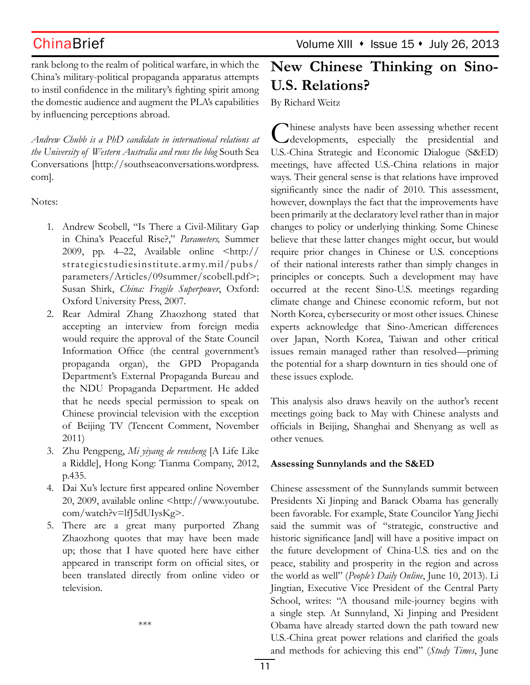rank belong to the realm of political warfare, in which the China's military-political propaganda apparatus attempts to instil confidence in the military's fighting spirit among the domestic audience and augment the PLA's capabilities by influencing perceptions abroad.

*Andrew Chubb is a PhD candidate in international relations at the University of Western Australia and runs the blog* South Sea Conversations [http://southseaconversations.wordpress. com].

Notes:

- 1. Andrew Scobell, "Is There a Civil-Military Gap in China's Peaceful Rise?," *Parameters,* Summer 2009, pp. 4–22, Available online <http:// strategicstudiesinstitute.ar my.mil/pubs/ parameters/Articles/09summer/scobell.pdf>; Susan Shirk, *China: Fragile Superpower*, Oxford: Oxford University Press, 2007.
- 2. Rear Admiral Zhang Zhaozhong stated that accepting an interview from foreign media would require the approval of the State Council Information Office (the central government's propaganda organ), the GPD Propaganda Department's External Propaganda Bureau and the NDU Propaganda Department. He added that he needs special permission to speak on Chinese provincial television with the exception of Beijing TV (Tencent Comment, November 2011)
- 3. Zhu Pengpeng, *Mi yiyang de rensheng* [A Life Like a Riddle], Hong Kong: Tianma Company, 2012, p.435.
- 4. Dai Xu's lecture first appeared online November 20, 2009, available online <http://www.youtube. com/watch?v=lfJ5dUIysKg>.
- 5. There are a great many purported Zhang Zhaozhong quotes that may have been made up; those that I have quoted here have either appeared in transcript form on official sites, or been translated directly from online video or television.

\*\*\*

# **New Chinese Thinking on Sino-U.S. Relations?**

By Richard Weitz

Chinese analysts have been assessing whether recent developments, especially the presidential and U.S.-China Strategic and Economic Dialogue (S&ED) meetings, have affected U.S.-China relations in major ways. Their general sense is that relations have improved significantly since the nadir of 2010. This assessment, however, downplays the fact that the improvements have been primarily at the declaratory level rather than in major changes to policy or underlying thinking. Some Chinese believe that these latter changes might occur, but would require prior changes in Chinese or U.S. conceptions of their national interests rather than simply changes in principles or concepts. Such a development may have occurred at the recent Sino-U.S. meetings regarding climate change and Chinese economic reform, but not North Korea, cybersecurity or most other issues. Chinese experts acknowledge that Sino-American differences over Japan, North Korea, Taiwan and other critical issues remain managed rather than resolved—priming the potential for a sharp downturn in ties should one of these issues explode.

This analysis also draws heavily on the author's recent meetings going back to May with Chinese analysts and officials in Beijing, Shanghai and Shenyang as well as other venues.

### **Assessing Sunnylands and the S&ED**

Chinese assessment of the Sunnylands summit between Presidents Xi Jinping and Barack Obama has generally been favorable. For example, State Councilor Yang Jiechi said the summit was of "strategic, constructive and historic significance [and] will have a positive impact on the future development of China-U.S. ties and on the peace, stability and prosperity in the region and across the world as well" (*People's Daily Online*, June 10, 2013). Li Jingtian, Executive Vice President of the Central Party School, writes: "A thousand mile-journey begins with a single step. At Sunnyland, Xi Jinping and President Obama have already started down the path toward new U.S.-China great power relations and clarified the goals and methods for achieving this end" (*Study Times*, June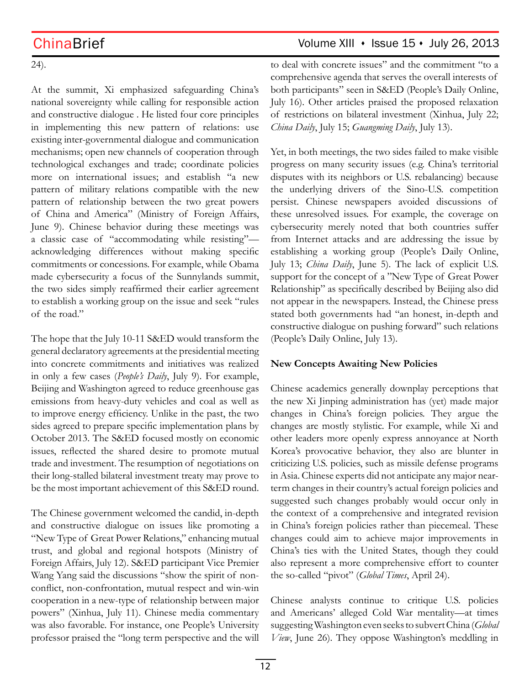24).

At the summit, Xi emphasized safeguarding China's national sovereignty while calling for responsible action and constructive dialogue . He listed four core principles in implementing this new pattern of relations: use existing inter-governmental dialogue and communication mechanisms; open new channels of cooperation through technological exchanges and trade; coordinate policies more on international issues; and establish "a new pattern of military relations compatible with the new pattern of relationship between the two great powers of China and America" (Ministry of Foreign Affairs, June 9). Chinese behavior during these meetings was a classic case of "accommodating while resisting" acknowledging differences without making specific commitments or concessions. For example, while Obama made cybersecurity a focus of the Sunnylands summit, the two sides simply reaffirmed their earlier agreement to establish a working group on the issue and seek "rules of the road."

The hope that the July 10-11 S&ED would transform the general declaratory agreements at the presidential meeting into concrete commitments and initiatives was realized in only a few cases (*People's Daily*, July 9). For example, Beijing and Washington agreed to reduce greenhouse gas emissions from heavy-duty vehicles and coal as well as to improve energy efficiency. Unlike in the past, the two sides agreed to prepare specific implementation plans by October 2013. The S&ED focused mostly on economic issues, reflected the shared desire to promote mutual trade and investment. The resumption of negotiations on their long-stalled bilateral investment treaty may prove to be the most important achievement of this S&ED round.

The Chinese government welcomed the candid, in-depth and constructive dialogue on issues like promoting a "New Type of Great Power Relations," enhancing mutual trust, and global and regional hotspots (Ministry of Foreign Affairs, July 12). S&ED participant Vice Premier Wang Yang said the discussions "show the spirit of nonconflict, non-confrontation, mutual respect and win-win cooperation in a new-type of relationship between major powers" (Xinhua, July 11). Chinese media commentary was also favorable. For instance, one People's University professor praised the "long term perspective and the will

ChinaBrief ChinaBrief Volume XIII • Issue 15 • July 26, 2013

to deal with concrete issues" and the commitment "to a comprehensive agenda that serves the overall interests of both participants" seen in S&ED (People's Daily Online, July 16). Other articles praised the proposed relaxation of restrictions on bilateral investment (Xinhua, July 22; *China Daily*, July 15; *Guangming Daily*, July 13).

Yet, in both meetings, the two sides failed to make visible progress on many security issues (e.g. China's territorial disputes with its neighbors or U.S. rebalancing) because the underlying drivers of the Sino-U.S. competition persist. Chinese newspapers avoided discussions of these unresolved issues. For example, the coverage on cybersecurity merely noted that both countries suffer from Internet attacks and are addressing the issue by establishing a working group (People's Daily Online, July 13; *China Daily*, June 5). The lack of explicit U.S. support for the concept of a "New Type of Great Power Relationship" as specifically described by Beijing also did not appear in the newspapers. Instead, the Chinese press stated both governments had "an honest, in-depth and constructive dialogue on pushing forward" such relations (People's Daily Online, July 13).

### **New Concepts Awaiting New Policies**

Chinese academics generally downplay perceptions that the new Xi Jinping administration has (yet) made major changes in China's foreign policies. They argue the changes are mostly stylistic. For example, while Xi and other leaders more openly express annoyance at North Korea's provocative behavior, they also are blunter in criticizing U.S. policies, such as missile defense programs in Asia. Chinese experts did not anticipate any major nearterm changes in their country's actual foreign policies and suggested such changes probably would occur only in the context of a comprehensive and integrated revision in China's foreign policies rather than piecemeal. These changes could aim to achieve major improvements in China's ties with the United States, though they could also represent a more comprehensive effort to counter the so-called "pivot" (*Global Times*, April 24).

Chinese analysts continue to critique U.S. policies and Americans' alleged Cold War mentality—at times suggesting Washington even seeks to subvert China (*Global View*, June 26). They oppose Washington's meddling in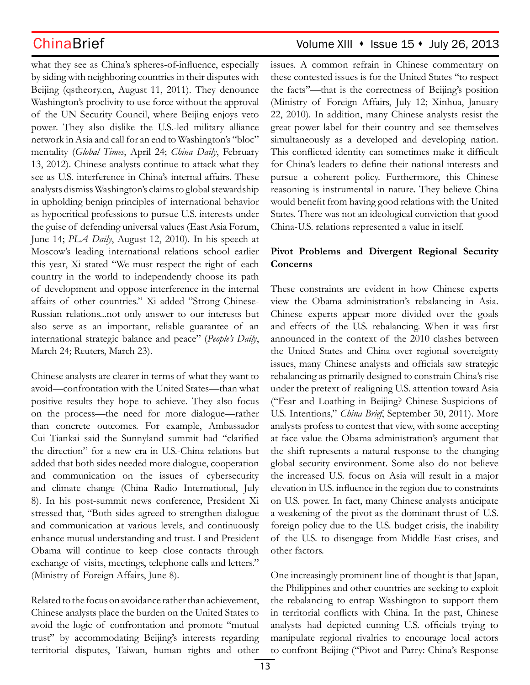what they see as China's spheres-of-influence, especially by siding with neighboring countries in their disputes with Beijing (qstheory.cn, August 11, 2011). They denounce Washington's proclivity to use force without the approval of the UN Security Council, where Beijing enjoys veto power. They also dislike the U.S.-led military alliance network in Asia and call for an end to Washington's "bloc" mentality (*Global Times*, April 24; *China Daily*, February 13, 2012). Chinese analysts continue to attack what they see as U.S. interference in China's internal affairs. These analysts dismiss Washington's claims to global stewardship in upholding benign principles of international behavior as hypocritical professions to pursue U.S. interests under the guise of defending universal values (East Asia Forum, June 14; *PLA Daily*, August 12, 2010). In his speech at Moscow's leading international relations school earlier this year, Xi stated "We must respect the right of each country in the world to independently choose its path of development and oppose interference in the internal affairs of other countries." Xi added "Strong Chinese-Russian relations...not only answer to our interests but also serve as an important, reliable guarantee of an international strategic balance and peace" (*People's Daily*, March 24; Reuters, March 23).

Chinese analysts are clearer in terms of what they want to avoid—confrontation with the United States—than what positive results they hope to achieve. They also focus on the process—the need for more dialogue—rather than concrete outcomes. For example, Ambassador Cui Tiankai said the Sunnyland summit had "clarified the direction" for a new era in U.S.-China relations but added that both sides needed more dialogue, cooperation and communication on the issues of cybersecurity and climate change (China Radio International, July 8). In his post-summit news conference, President Xi stressed that, "Both sides agreed to strengthen dialogue and communication at various levels, and continuously enhance mutual understanding and trust. I and President Obama will continue to keep close contacts through exchange of visits, meetings, telephone calls and letters." (Ministry of Foreign Affairs, June 8).

Related to the focus on avoidance rather than achievement, Chinese analysts place the burden on the United States to avoid the logic of confrontation and promote "mutual trust" by accommodating Beijing's interests regarding territorial disputes, Taiwan, human rights and other

## ChinaBrief Volume XIII • Issue 15 • July 26, 2013

issues. A common refrain in Chinese commentary on these contested issues is for the United States "to respect the facts"—that is the correctness of Beijing's position (Ministry of Foreign Affairs, July 12; Xinhua, January 22, 2010). In addition, many Chinese analysts resist the great power label for their country and see themselves simultaneously as a developed and developing nation. This conflicted identity can sometimes make it difficult for China's leaders to define their national interests and pursue a coherent policy. Furthermore, this Chinese reasoning is instrumental in nature. They believe China would benefit from having good relations with the United States. There was not an ideological conviction that good China-U.S. relations represented a value in itself.

### **Pivot Problems and Divergent Regional Security Concerns**

These constraints are evident in how Chinese experts view the Obama administration's rebalancing in Asia. Chinese experts appear more divided over the goals and effects of the U.S. rebalancing. When it was first announced in the context of the 2010 clashes between the United States and China over regional sovereignty issues, many Chinese analysts and officials saw strategic rebalancing as primarily designed to constrain China's rise under the pretext of realigning U.S. attention toward Asia ("Fear and Loathing in Beijing? Chinese Suspicions of U.S. Intentions," *China Brief*, September 30, 2011). More analysts profess to contest that view, with some accepting at face value the Obama administration's argument that the shift represents a natural response to the changing global security environment. Some also do not believe the increased U.S. focus on Asia will result in a major elevation in U.S. influence in the region due to constraints on U.S. power. In fact, many Chinese analysts anticipate a weakening of the pivot as the dominant thrust of U.S. foreign policy due to the U.S. budget crisis, the inability of the U.S. to disengage from Middle East crises, and other factors.

One increasingly prominent line of thought is that Japan, the Philippines and other countries are seeking to exploit the rebalancing to entrap Washington to support them in territorial conflicts with China. In the past, Chinese analysts had depicted cunning U.S. officials trying to manipulate regional rivalries to encourage local actors to confront Beijing ("Pivot and Parry: China's Response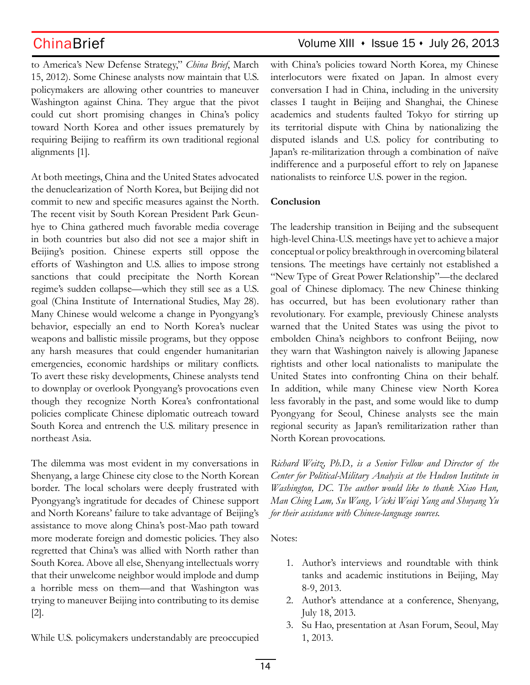to America's New Defense Strategy," *China Brief*, March 15, 2012). Some Chinese analysts now maintain that U.S. policymakers are allowing other countries to maneuver Washington against China. They argue that the pivot could cut short promising changes in China's policy toward North Korea and other issues prematurely by requiring Beijing to reaffirm its own traditional regional alignments [1].

At both meetings, China and the United States advocated the denuclearization of North Korea, but Beijing did not commit to new and specific measures against the North. The recent visit by South Korean President Park Geunhye to China gathered much favorable media coverage in both countries but also did not see a major shift in Beijing's position. Chinese experts still oppose the efforts of Washington and U.S. allies to impose strong sanctions that could precipitate the North Korean regime's sudden collapse—which they still see as a U.S. goal (China Institute of International Studies, May 28). Many Chinese would welcome a change in Pyongyang's behavior, especially an end to North Korea's nuclear weapons and ballistic missile programs, but they oppose any harsh measures that could engender humanitarian emergencies, economic hardships or military conflicts. To avert these risky developments, Chinese analysts tend to downplay or overlook Pyongyang's provocations even though they recognize North Korea's confrontational policies complicate Chinese diplomatic outreach toward South Korea and entrench the U.S. military presence in northeast Asia.

The dilemma was most evident in my conversations in Shenyang, a large Chinese city close to the North Korean border. The local scholars were deeply frustrated with Pyongyang's ingratitude for decades of Chinese support and North Koreans' failure to take advantage of Beijing's assistance to move along China's post-Mao path toward more moderate foreign and domestic policies. They also regretted that China's was allied with North rather than South Korea. Above all else, Shenyang intellectuals worry that their unwelcome neighbor would implode and dump a horrible mess on them—and that Washington was trying to maneuver Beijing into contributing to its demise [2].

While U.S. policymakers understandably are preoccupied

## ChinaBrief Volume XIII • Issue 15 • July 26, 2013

with China's policies toward North Korea, my Chinese interlocutors were fixated on Japan. In almost every conversation I had in China, including in the university classes I taught in Beijing and Shanghai, the Chinese academics and students faulted Tokyo for stirring up its territorial dispute with China by nationalizing the disputed islands and U.S. policy for contributing to Japan's re-militarization through a combination of naïve indifference and a purposeful effort to rely on Japanese nationalists to reinforce U.S. power in the region.

### **Conclusion**

The leadership transition in Beijing and the subsequent high-level China-U.S. meetings have yet to achieve a major conceptual or policy breakthrough in overcoming bilateral tensions. The meetings have certainly not established a "New Type of Great Power Relationship"—the declared goal of Chinese diplomacy. The new Chinese thinking has occurred, but has been evolutionary rather than revolutionary. For example, previously Chinese analysts warned that the United States was using the pivot to embolden China's neighbors to confront Beijing, now they warn that Washington naively is allowing Japanese rightists and other local nationalists to manipulate the United States into confronting China on their behalf. In addition, while many Chinese view North Korea less favorably in the past, and some would like to dump Pyongyang for Seoul, Chinese analysts see the main regional security as Japan's remilitarization rather than North Korean provocations.

*Richard Weitz, Ph.D., is a Senior Fellow and Director of the Center for Political-Military Analysis at the Hudson Institute in Washington, DC. The author would like to thank Xiao Han, Man Ching Lam, Su Wang, Vicki Weiqi Yang and Shuyang Yu for their assistance with Chinese-language sources.*

Notes:

- 1. Author's interviews and roundtable with think tanks and academic institutions in Beijing, May 8-9, 2013.
- 2. Author's attendance at a conference, Shenyang, July 18, 2013.
- 3. Su Hao, presentation at Asan Forum, Seoul, May 1, 2013.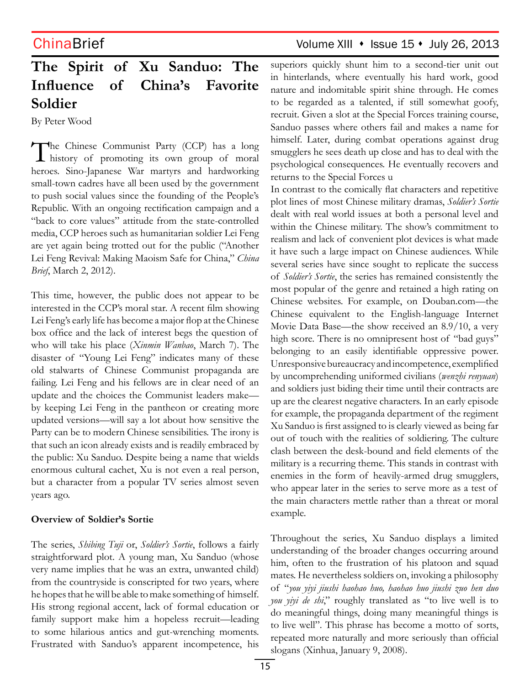## ChinaBrief Volume XIII • Issue 15 • July 26, 2013

# **The Spirit of Xu Sanduo: The Influence of China's Favorite Soldier**

By Peter Wood

The Chinese Communist Party (CCP) has a long<br>history of promoting its own group of moral heroes. Sino-Japanese War martyrs and hardworking small-town cadres have all been used by the government to push social values since the founding of the People's Republic. With an ongoing rectification campaign and a "back to core values" attitude from the state-controlled media, CCP heroes such as humanitarian soldier Lei Feng are yet again being trotted out for the public ("Another Lei Feng Revival: Making Maoism Safe for China," *China Brief*, March 2, 2012).

This time, however, the public does not appear to be interested in the CCP's moral star. A recent film showing Lei Feng's early life has become a major flop at the Chinese box office and the lack of interest begs the question of who will take his place (*Xinmin Wanbao*, March 7). The disaster of "Young Lei Feng" indicates many of these old stalwarts of Chinese Communist propaganda are failing. Lei Feng and his fellows are in clear need of an update and the choices the Communist leaders make by keeping Lei Feng in the pantheon or creating more updated versions—will say a lot about how sensitive the Party can be to modern Chinese sensibilities. The irony is that such an icon already exists and is readily embraced by the public: Xu Sanduo. Despite being a name that wields enormous cultural cachet, Xu is not even a real person, but a character from a popular TV series almost seven years ago.

### **Overview of Soldier's Sortie**

The series, *Shibing Tuji* or, *Soldier's Sortie*, follows a fairly straightforward plot. A young man, Xu Sanduo (whose very name implies that he was an extra, unwanted child) from the countryside is conscripted for two years, where he hopes that he will be able to make something of himself. His strong regional accent, lack of formal education or family support make him a hopeless recruit—leading to some hilarious antics and gut-wrenching moments. Frustrated with Sanduo's apparent incompetence, his superiors quickly shunt him to a second-tier unit out in hinterlands, where eventually his hard work, good nature and indomitable spirit shine through. He comes to be regarded as a talented, if still somewhat goofy, recruit. Given a slot at the Special Forces training course, Sanduo passes where others fail and makes a name for himself. Later, during combat operations against drug smugglers he sees death up close and has to deal with the psychological consequences. He eventually recovers and returns to the Special Forces u

In contrast to the comically flat characters and repetitive plot lines of most Chinese military dramas, *Soldier's Sortie*  dealt with real world issues at both a personal level and within the Chinese military. The show's commitment to realism and lack of convenient plot devices is what made it have such a large impact on Chinese audiences. While several series have since sought to replicate the success of *Soldier's Sortie*, the series has remained consistently the most popular of the genre and retained a high rating on Chinese websites. For example, on Douban.com—the Chinese equivalent to the English-language Internet Movie Data Base—the show received an 8.9/10, a very high score. There is no omnipresent host of "bad guys" belonging to an easily identifiable oppressive power. Unresponsive bureaucracy and incompetence, exemplified by uncomprehending uniformed civilians (*wenzhi renyuan*) and soldiers just biding their time until their contracts are up are the clearest negative characters. In an early episode for example, the propaganda department of the regiment Xu Sanduo is first assigned to is clearly viewed as being far out of touch with the realities of soldiering. The culture clash between the desk-bound and field elements of the military is a recurring theme. This stands in contrast with enemies in the form of heavily-armed drug smugglers, who appear later in the series to serve more as a test of the main characters mettle rather than a threat or moral example.

Throughout the series, Xu Sanduo displays a limited understanding of the broader changes occurring around him, often to the frustration of his platoon and squad mates. He nevertheless soldiers on, invoking a philosophy of "*you yiyi jiushi haohao huo, haohao huo jiushi zuo hen duo you yiyi de shi*," roughly translated as "to live well is to do meaningful things, doing many meaningful things is to live well". This phrase has become a motto of sorts, repeated more naturally and more seriously than official slogans (Xinhua, January 9, 2008).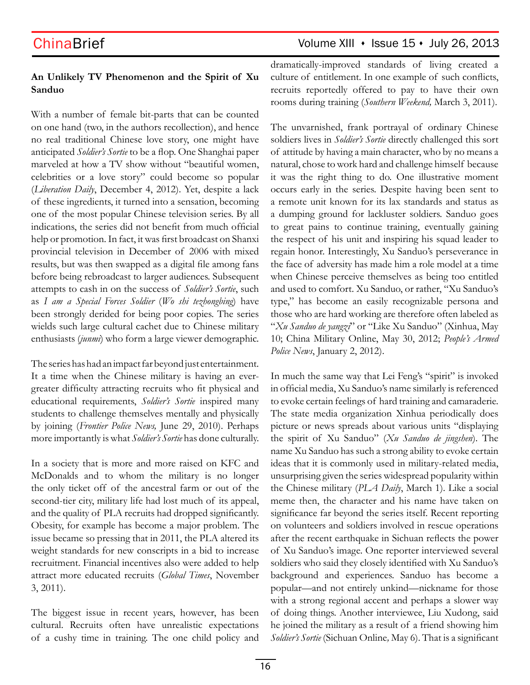## ChinaBrief Volume XIII · Issue 15 · July 26, 2013

### **An Unlikely TV Phenomenon and the Spirit of Xu Sanduo**

With a number of female bit-parts that can be counted on one hand (two, in the authors recollection), and hence no real traditional Chinese love story, one might have anticipated *Soldier's Sortie* to be a flop. One Shanghai paper marveled at how a TV show without "beautiful women, celebrities or a love story" could become so popular (*Liberation Daily*, December 4, 2012). Yet, despite a lack of these ingredients, it turned into a sensation, becoming one of the most popular Chinese television series. By all indications, the series did not benefit from much official help or promotion. In fact, it was first broadcast on Shanxi provincial television in December of 2006 with mixed results, but was then swapped as a digital file among fans before being rebroadcast to larger audiences. Subsequent attempts to cash in on the success of *Soldier's Sortie*, such as *I am a Special Forces Soldier* (*Wo shi tezhongbing*) have been strongly derided for being poor copies. The series wields such large cultural cachet due to Chinese military enthusiasts (*junmi*) who form a large viewer demographic.

The series has had an impact far beyond just entertainment. It a time when the Chinese military is having an evergreater difficulty attracting recruits who fit physical and educational requirements, *Soldier's Sortie* inspired many students to challenge themselves mentally and physically by joining (*Frontier Police News,* June 29, 2010). Perhaps more importantly is what *Soldier's Sortie* has done culturally.

In a society that is more and more raised on KFC and McDonalds and to whom the military is no longer the only ticket off of the ancestral farm or out of the second-tier city, military life had lost much of its appeal, and the quality of PLA recruits had dropped significantly. Obesity, for example has become a major problem. The issue became so pressing that in 2011, the PLA altered its weight standards for new conscripts in a bid to increase recruitment. Financial incentives also were added to help attract more educated recruits (*Global Times*, November 3, 2011).

The biggest issue in recent years, however, has been cultural. Recruits often have unrealistic expectations of a cushy time in training. The one child policy and dramatically-improved standards of living created a culture of entitlement. In one example of such conflicts, recruits reportedly offered to pay to have their own rooms during training (*Southern Weekend,* March 3, 2011).

The unvarnished, frank portrayal of ordinary Chinese soldiers lives in *Soldier's Sortie* directly challenged this sort of attitude by having a main character, who by no means a natural, chose to work hard and challenge himself because it was the right thing to do. One illustrative moment occurs early in the series. Despite having been sent to a remote unit known for its lax standards and status as a dumping ground for lackluster soldiers. Sanduo goes to great pains to continue training, eventually gaining the respect of his unit and inspiring his squad leader to regain honor. Interestingly, Xu Sanduo's perseverance in the face of adversity has made him a role model at a time when Chinese perceive themselves as being too entitled and used to comfort. Xu Sanduo, or rather, "Xu Sanduo's type," has become an easily recognizable persona and those who are hard working are therefore often labeled as "*Xu Sanduo de yangzi*" or "Like Xu Sanduo" (Xinhua, May 10; China Military Online, May 30, 2012; *People's Armed Police News*, January 2, 2012).

In much the same way that Lei Feng's "spirit" is invoked in official media, Xu Sanduo's name similarly is referenced to evoke certain feelings of hard training and camaraderie. The state media organization Xinhua periodically does picture or news spreads about various units "displaying the spirit of Xu Sanduo" (*Xu Sanduo de jingshen*). The name Xu Sanduo has such a strong ability to evoke certain ideas that it is commonly used in military-related media, unsurprising given the series widespread popularity within the Chinese military (*PLA Daily*, March 1). Like a social meme then, the character and his name have taken on significance far beyond the series itself. Recent reporting on volunteers and soldiers involved in rescue operations after the recent earthquake in Sichuan reflects the power of Xu Sanduo's image. One reporter interviewed several soldiers who said they closely identified with Xu Sanduo's background and experiences. Sanduo has become a popular—and not entirely unkind—nickname for those with a strong regional accent and perhaps a slower way of doing things. Another interviewee, Liu Xudong, said he joined the military as a result of a friend showing him *Soldier's Sortie* (Sichuan Online*,* May 6). That is a significant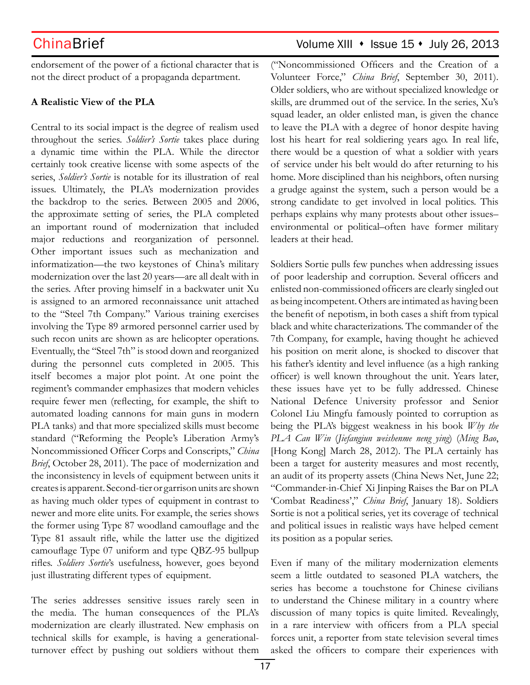endorsement of the power of a fictional character that is not the direct product of a propaganda department.

### **A Realistic View of the PLA**

Central to its social impact is the degree of realism used throughout the series. *Soldier's Sortie* takes place during a dynamic time within the PLA. While the director certainly took creative license with some aspects of the series, *Soldier's Sortie* is notable for its illustration of real issues. Ultimately, the PLA's modernization provides the backdrop to the series. Between 2005 and 2006, the approximate setting of series, the PLA completed an important round of modernization that included major reductions and reorganization of personnel. Other important issues such as mechanization and informatization—the two keystones of China's military modernization over the last 20 years—are all dealt with in the series. After proving himself in a backwater unit Xu is assigned to an armored reconnaissance unit attached to the "Steel 7th Company." Various training exercises involving the Type 89 armored personnel carrier used by such recon units are shown as are helicopter operations. Eventually, the "Steel 7th" is stood down and reorganized during the personnel cuts completed in 2005. This itself becomes a major plot point. At one point the regiment's commander emphasizes that modern vehicles require fewer men (reflecting, for example, the shift to automated loading cannons for main guns in modern PLA tanks) and that more specialized skills must become standard ("Reforming the People's Liberation Army's Noncommissioned Officer Corps and Conscripts," *China Brief*, October 28, 2011). The pace of modernization and the inconsistency in levels of equipment between units it creates is apparent. Second-tier or garrison units are shown as having much older types of equipment in contrast to newer and more elite units. For example, the series shows the former using Type 87 woodland camouflage and the Type 81 assault rifle, while the latter use the digitized camouflage Type 07 uniform and type QBZ-95 bullpup rifles. *Soldiers Sortie*'s usefulness, however, goes beyond just illustrating different types of equipment.

The series addresses sensitive issues rarely seen in the media. The human consequences of the PLA's modernization are clearly illustrated. New emphasis on technical skills for example, is having a generationalturnover effect by pushing out soldiers without them

## ChinaBrief Volume XIII • Issue 15 • July 26, 2013

("Noncommissioned Officers and the Creation of a Volunteer Force," *China Brief*, September 30, 2011). Older soldiers, who are without specialized knowledge or skills, are drummed out of the service. In the series, Xu's squad leader, an older enlisted man, is given the chance to leave the PLA with a degree of honor despite having lost his heart for real soldiering years ago. In real life, there would be a question of what a soldier with years of service under his belt would do after returning to his home. More disciplined than his neighbors, often nursing a grudge against the system, such a person would be a strong candidate to get involved in local politics. This perhaps explains why many protests about other issues– environmental or political–often have former military leaders at their head.

Soldiers Sortie pulls few punches when addressing issues of poor leadership and corruption. Several officers and enlisted non-commissioned officers are clearly singled out as being incompetent. Others are intimated as having been the benefit of nepotism, in both cases a shift from typical black and white characterizations. The commander of the 7th Company, for example, having thought he achieved his position on merit alone, is shocked to discover that his father's identity and level influence (as a high ranking officer) is well known throughout the unit. Years later, these issues have yet to be fully addressed. Chinese National Defence University professor and Senior Colonel Liu Mingfu famously pointed to corruption as being the PLA's biggest weakness in his book *Why the PLA Can Win* (*Jiefangjun weishenme neng ying*) (*Ming Bao*, [Hong Kong] March 28, 2012). The PLA certainly has been a target for austerity measures and most recently, an audit of its property assets (China News Net, June 22; "Commander-in-Chief Xi Jinping Raises the Bar on PLA 'Combat Readiness'," *China Brief*, January 18). Soldiers Sortie is not a political series, yet its coverage of technical and political issues in realistic ways have helped cement its position as a popular series.

Even if many of the military modernization elements seem a little outdated to seasoned PLA watchers, the series has become a touchstone for Chinese civilians to understand the Chinese military in a country where discussion of many topics is quite limited. Revealingly, in a rare interview with officers from a PLA special forces unit, a reporter from state television several times asked the officers to compare their experiences with